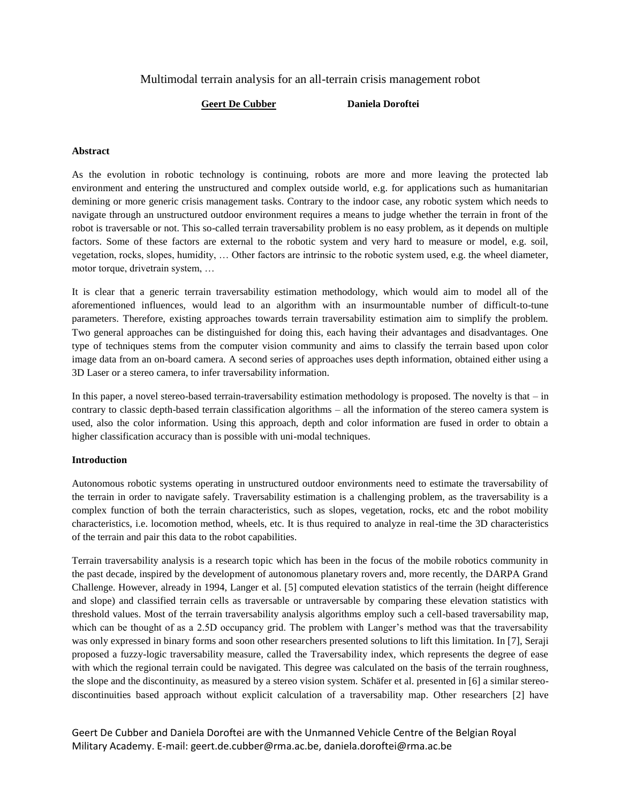# Multimodal terrain analysis for an all-terrain crisis management robot

## **Geert De Cubber Daniela Doroftei**

## **Abstract**

As the evolution in robotic technology is continuing, robots are more and more leaving the protected lab environment and entering the unstructured and complex outside world, e.g. for applications such as humanitarian demining or more generic crisis management tasks. Contrary to the indoor case, any robotic system which needs to navigate through an unstructured outdoor environment requires a means to judge whether the terrain in front of the robot is traversable or not. This so-called terrain traversability problem is no easy problem, as it depends on multiple factors. Some of these factors are external to the robotic system and very hard to measure or model, e.g. soil, vegetation, rocks, slopes, humidity, … Other factors are intrinsic to the robotic system used, e.g. the wheel diameter, motor torque, drivetrain system, …

It is clear that a generic terrain traversability estimation methodology, which would aim to model all of the aforementioned influences, would lead to an algorithm with an insurmountable number of difficult-to-tune parameters. Therefore, existing approaches towards terrain traversability estimation aim to simplify the problem. Two general approaches can be distinguished for doing this, each having their advantages and disadvantages. One type of techniques stems from the computer vision community and aims to classify the terrain based upon color image data from an on-board camera. A second series of approaches uses depth information, obtained either using a 3D Laser or a stereo camera, to infer traversability information.

In this paper, a novel stereo-based terrain-traversability estimation methodology is proposed. The novelty is that – in contrary to classic depth-based terrain classification algorithms – all the information of the stereo camera system is used, also the color information. Using this approach, depth and color information are fused in order to obtain a higher classification accuracy than is possible with uni-modal techniques.

### **Introduction**

Autonomous robotic systems operating in unstructured outdoor environments need to estimate the traversability of the terrain in order to navigate safely. Traversability estimation is a challenging problem, as the traversability is a complex function of both the terrain characteristics, such as slopes, vegetation, rocks, etc and the robot mobility characteristics, i.e. locomotion method, wheels, etc. It is thus required to analyze in real-time the 3D characteristics of the terrain and pair this data to the robot capabilities.

Terrain traversability analysis is a research topic which has been in the focus of the mobile robotics community in the past decade, inspired by the development of autonomous planetary rovers and, more recently, the DARPA Grand Challenge. However, already in 1994, Langer et al. [5] computed elevation statistics of the terrain (height difference and slope) and classified terrain cells as traversable or untraversable by comparing these elevation statistics with threshold values. Most of the terrain traversability analysis algorithms employ such a cell-based traversability map, which can be thought of as a 2.5D occupancy grid. The problem with Langer's method was that the traversability was only expressed in binary forms and soon other researchers presented solutions to lift this limitation. In [7], Seraji proposed a fuzzy-logic traversability measure, called the Traversability index, which represents the degree of ease with which the regional terrain could be navigated. This degree was calculated on the basis of the terrain roughness, the slope and the discontinuity, as measured by a stereo vision system. Schäfer et al. presented in [6] a similar stereodiscontinuities based approach without explicit calculation of a traversability map. Other researchers [2] have

Geert De Cubber and Daniela Doroftei are with the Unmanned Vehicle Centre of the Belgian Royal Military Academy. E-mail: geert.de.cubber@rma.ac.be, daniela.doroftei@rma.ac.be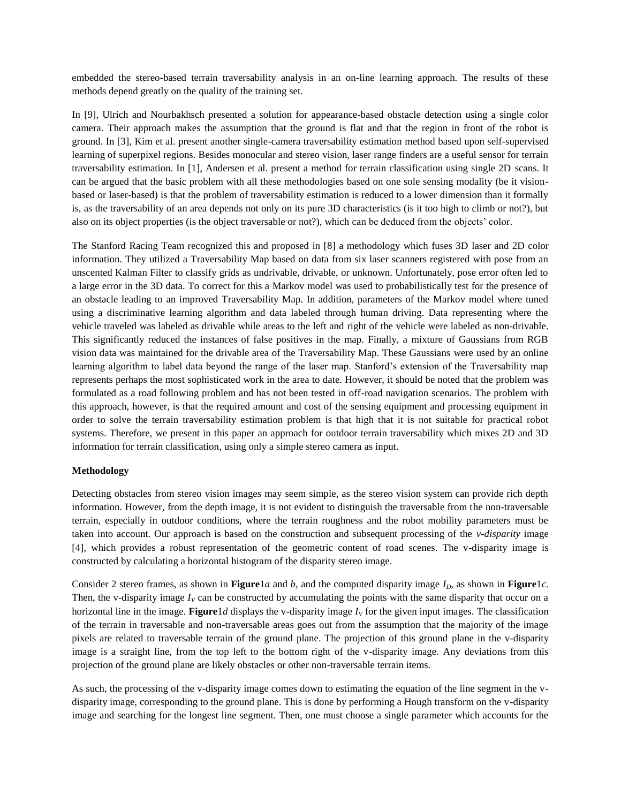embedded the stereo-based terrain traversability analysis in an on-line learning approach. The results of these methods depend greatly on the quality of the training set.

In [9], Ulrich and Nourbakhsch presented a solution for appearance-based obstacle detection using a single color camera. Their approach makes the assumption that the ground is flat and that the region in front of the robot is ground. In [3], Kim et al. present another single-camera traversability estimation method based upon self-supervised learning of superpixel regions. Besides monocular and stereo vision, laser range finders are a useful sensor for terrain traversability estimation. In [1], Andersen et al. present a method for terrain classification using single 2D scans. It can be argued that the basic problem with all these methodologies based on one sole sensing modality (be it visionbased or laser-based) is that the problem of traversability estimation is reduced to a lower dimension than it formally is, as the traversability of an area depends not only on its pure 3D characteristics (is it too high to climb or not?), but also on its object properties (is the object traversable or not?), which can be deduced from the objects' color.

The Stanford Racing Team recognized this and proposed in [8] a methodology which fuses 3D laser and 2D color information. They utilized a Traversability Map based on data from six laser scanners registered with pose from an unscented Kalman Filter to classify grids as undrivable, drivable, or unknown. Unfortunately, pose error often led to a large error in the 3D data. To correct for this a Markov model was used to probabilistically test for the presence of an obstacle leading to an improved Traversability Map. In addition, parameters of the Markov model where tuned using a discriminative learning algorithm and data labeled through human driving. Data representing where the vehicle traveled was labeled as drivable while areas to the left and right of the vehicle were labeled as non-drivable. This significantly reduced the instances of false positives in the map. Finally, a mixture of Gaussians from RGB vision data was maintained for the drivable area of the Traversability Map. These Gaussians were used by an online learning algorithm to label data beyond the range of the laser map. Stanford's extension of the Traversability map represents perhaps the most sophisticated work in the area to date. However, it should be noted that the problem was formulated as a road following problem and has not been tested in off-road navigation scenarios. The problem with this approach, however, is that the required amount and cost of the sensing equipment and processing equipment in order to solve the terrain traversability estimation problem is that high that it is not suitable for practical robot systems. Therefore, we present in this paper an approach for outdoor terrain traversability which mixes 2D and 3D information for terrain classification, using only a simple stereo camera as input.

### **Methodology**

Detecting obstacles from stereo vision images may seem simple, as the stereo vision system can provide rich depth information. However, from the depth image, it is not evident to distinguish the traversable from the non-traversable terrain, especially in outdoor conditions, where the terrain roughness and the robot mobility parameters must be taken into account. Our approach is based on the construction and subsequent processing of the *v-disparity* image [\[4\],](#page-3-0) which provides a robust representation of the geometric content of road scenes. The v-disparity image is constructed by calculating a horizontal histogram of the disparity stereo image.

Consider 2 stereo frames, as shown in **[Figure](#page-2-0)**1*a* and *b*, and the computed disparity image *ID*, as shown in **[Figure](#page-2-0)**1*c*. Then, the v-disparity image  $I_V$  can be constructed by accumulating the points with the same disparity that occur on a horizontal line in the image. **[Figure](#page-2-0)** 1*d* displays the v-disparity image  $I_V$  for the given input images. The classification of the terrain in traversable and non-traversable areas goes out from the assumption that the majority of the image pixels are related to traversable terrain of the ground plane. The projection of this ground plane in the v-disparity image is a straight line, from the top left to the bottom right of the v-disparity image. Any deviations from this projection of the ground plane are likely obstacles or other non-traversable terrain items.

As such, the processing of the v-disparity image comes down to estimating the equation of the line segment in the vdisparity image, corresponding to the ground plane. This is done by performing a Hough transform on the v-disparity image and searching for the longest line segment. Then, one must choose a single parameter which accounts for the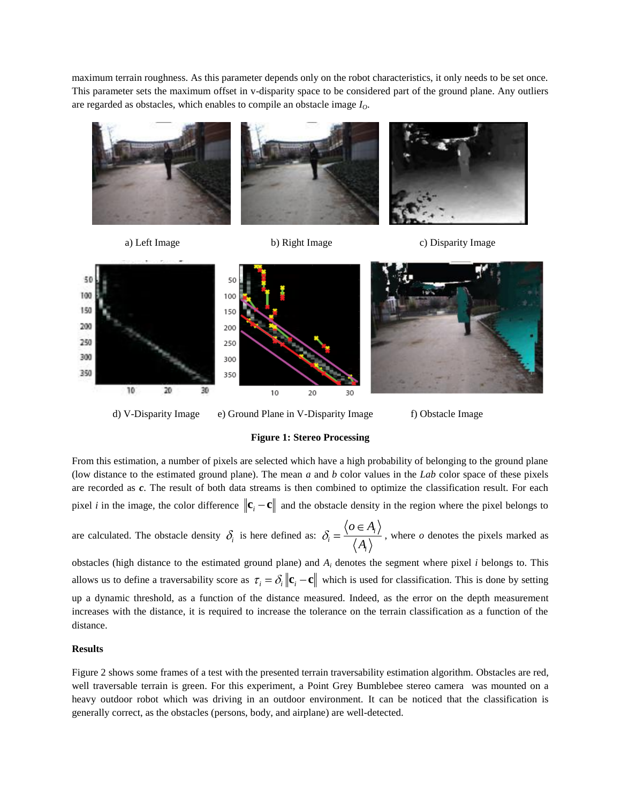maximum terrain roughness. As this parameter depends only on the robot characteristics, it only needs to be set once. This parameter sets the maximum offset in v-disparity space to be considered part of the ground plane. Any outliers are regarded as obstacles, which enables to compile an obstacle image *IO*.



d) V-Disparity Image e) Ground Plane in V-Disparity Image f) Obstacle Image

#### **Figure 1: Stereo Processing**

<span id="page-2-0"></span>From this estimation, a number of pixels are selected which have a high probability of belonging to the ground plane (low distance to the estimated ground plane). The mean *a* and *b* color values in the *Lab* color space of these pixels are recorded as *c*. The result of both data streams is then combined to optimize the classification result. For each pixel *i* in the image, the color difference  $\|\mathbf{c}_i - \mathbf{c}\|$  and the obstacle density in the region where the pixel belongs to

are calculated. The obstacle density  $\delta_i$  is here defined as:  $\delta_i = \frac{\delta_i - \delta_i}{\delta_i}$ *i i*  $o \in A$  $\overline{A_i}$ , where *o* denotes the pixels marked as

obstacles (high distance to the estimated ground plane) and *A<sup>i</sup>* denotes the segment where pixel *i* belongs to. This allows us to define a traversability score as  $\tau_i = \delta_i ||\mathbf{c}_i - \mathbf{c}||$  which is used for classification. This is done by setting up a dynamic threshold, as a function of the distance measured. Indeed, as the error on the depth measurement increases with the distance, it is required to increase the tolerance on the terrain classification as a function of the distance.

#### **Results**

Figure 2 shows some frames of a test with the presented terrain traversability estimation algorithm. Obstacles are red, well traversable terrain is green. For this experiment, a Point Grey Bumblebee stereo camera was mounted on a heavy outdoor robot which was driving in an outdoor environment. It can be noticed that the classification is generally correct, as the obstacles (persons, body, and airplane) are well-detected.